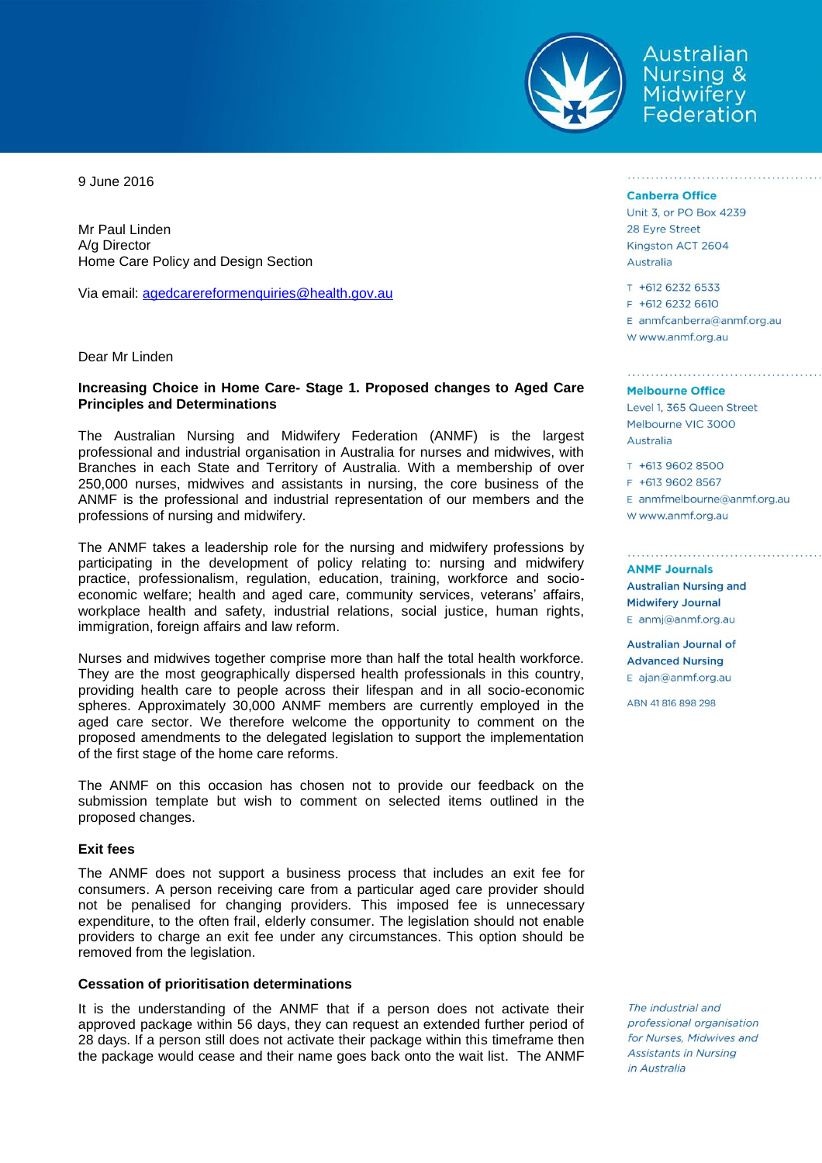

Australian Nursing & Midwifery<br>Federation

9 June 2016

Mr Paul Linden A/g Director Home Care Policy and Design Section

Via email: [agedcarereformenquiries@health.gov.au](mailto:agedcarereformenquiries@health.gov.au)

Dear Mr Linden

## **Increasing Choice in Home Care- Stage 1. Proposed changes to Aged Care Principles and Determinations**

The Australian Nursing and Midwifery Federation (ANMF) is the largest professional and industrial organisation in Australia for nurses and midwives, with Branches in each State and Territory of Australia. With a membership of over 250,000 nurses, midwives and assistants in nursing, the core business of the ANMF is the professional and industrial representation of our members and the professions of nursing and midwifery.

The ANMF takes a leadership role for the nursing and midwifery professions by participating in the development of policy relating to: nursing and midwifery practice, professionalism, regulation, education, training, workforce and socioeconomic welfare; health and aged care, community services, veterans' affairs, workplace health and safety, industrial relations, social justice, human rights, immigration, foreign affairs and law reform.

Nurses and midwives together comprise more than half the total health workforce. They are the most geographically dispersed health professionals in this country, providing health care to people across their lifespan and in all socio-economic spheres. Approximately 30,000 ANMF members are currently employed in the aged care sector. We therefore welcome the opportunity to comment on the proposed amendments to the delegated legislation to support the implementation of the first stage of the home care reforms.

The ANMF on this occasion has chosen not to provide our feedback on the submission template but wish to comment on selected items outlined in the proposed changes.

## **Exit fees**

The ANMF does not support a business process that includes an exit fee for consumers. A person receiving care from a particular aged care provider should not be penalised for changing providers. This imposed fee is unnecessary expenditure, to the often frail, elderly consumer. The legislation should not enable providers to charge an exit fee under any circumstances. This option should be removed from the legislation.

## **Cessation of prioritisation determinations**

It is the understanding of the ANMF that if a person does not activate their approved package within 56 days, they can request an extended further period of 28 days. If a person still does not activate their package within this timeframe then the package would cease and their name goes back onto the wait list. The ANMF

### **Canberra Office**

Unit 3, or PO Box 4239 28 Eyre Street Kingston ACT 2604 Australia

T +612 6232 6533 F +612 6232 6610 E anmfcanberra@anmf.org.au W www.anmf.org.au

## 

**Melbourne Office** Level 1, 365 Queen Street Melbourne VIC 3000 Australia

T +613 9602 8500 F +613 9602 8567 E anmfmelbourne@anmf.org.au W www.anmf.org.au

#### **ANMF Journals**

**Australian Nursing and Midwifery Journal** E anmj@anmf.org.au

**Australian Journal of Advanced Nursing** E ajan@anmf.org.au

ABN 41816898298

The industrial and professional organisation for Nurses, Midwives and **Assistants in Nursing** in Australia